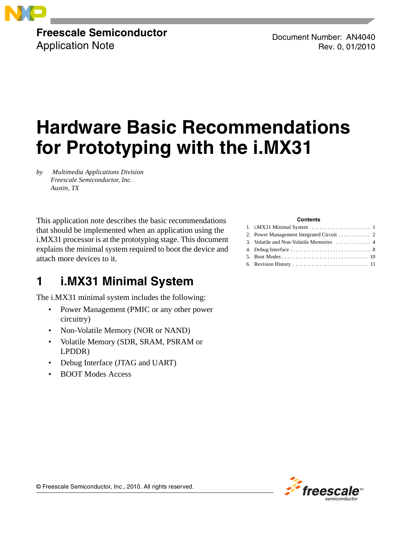

### **Freescale Semiconductor** Application Note

Document Number: AN4040 Rev. 0, 01/2010

# **Hardware Basic Recommendations for Prototyping with the i.MX31**

*by Multimedia Applications Division Freescale Semiconductor, Inc. Austin, TX*

This application note describes the basic recommendations that should be implemented when an application using the i.MX31 processor is at the prototyping stage. This document explains the minimal system required to boot the device and attach more devices to it.

## <span id="page-0-0"></span>**1 i.MX31 Minimal System**

The i.MX31 minimal system includes the following:

- Power Management (PMIC or any other power circuitry)
- Non-Volatile Memory (NOR or NAND)
- Volatile Memory (SDR, SRAM, PSRAM or LPDDR)
- Debug Interface (JTAG and UART)
- BOOT Modes Access

#### **Contents**

| 3. Volatile and Non-Volatile Memories  4 |
|------------------------------------------|
|                                          |
|                                          |
|                                          |



© Freescale Semiconductor, Inc., 2010. All rights reserved.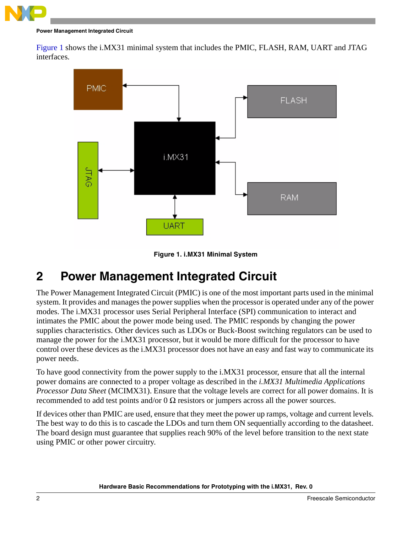

#### **Power Management Integrated Circuit**

[Figure 1](#page-1-1) shows the i.MX31 minimal system that includes the PMIC, FLASH, RAM, UART and JTAG interfaces.





### <span id="page-1-1"></span><span id="page-1-0"></span>**2 Power Management Integrated Circuit**

The Power Management Integrated Circuit (PMIC) is one of the most important parts used in the minimal system. It provides and manages the power supplies when the processor is operated under any of the power modes. The i.MX31 processor uses Serial Peripheral Interface (SPI) communication to interact and intimates the PMIC about the power mode being used. The PMIC responds by changing the power supplies characteristics. Other devices such as LDOs or Buck-Boost switching regulators can be used to manage the power for the i.MX31 processor, but it would be more difficult for the processor to have control over these devices as the i.MX31 processor does not have an easy and fast way to communicate its power needs.

To have good connectivity from the power supply to the i.MX31 processor, ensure that all the internal power domains are connected to a proper voltage as described in the *i.MX31 Multimedia Applications Processor Data Sheet* (MCIMX31). Ensure that the voltage levels are correct for all power domains. It is recommended to add test points and/or  $0 \Omega$  resistors or jumpers across all the power sources.

If devices other than PMIC are used, ensure that they meet the power up ramps, voltage and current levels. The best way to do this is to cascade the LDOs and turn them ON sequentially according to the datasheet. The board design must guarantee that supplies reach 90% of the level before transition to the next state using PMIC or other power circuitry.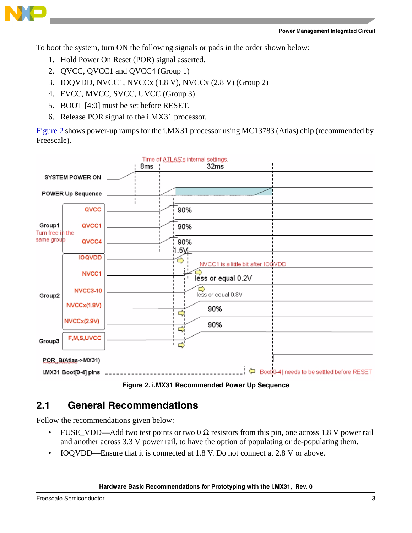

To boot the system, turn ON the following signals or pads in the order shown below:

- 1. Hold Power On Reset (POR) signal asserted.
- 2. QVCC, QVCC1 and QVCC4 (Group 1)
- 3. IOQVDD, NVCC1, NVCCx (1.8 V), NVCCx (2.8 V) (Group 2)
- 4. FVCC, MVCC, SVCC, UVCC (Group 3)
- 5. BOOT [4:0] must be set before RESET.
- 6. Release POR signal to the i.MX31 processor.

[Figure 2](#page-2-0) shows power-up ramps for the i.MX31 processor using MC13783 (Atlas) chip (recommended by Freescale).



**Figure 2. i.MX31 Recommended Power Up Sequence**

### <span id="page-2-0"></span>**2.1 General Recommendations**

Follow the recommendations given below:

- FUSE\_VDD**—**Add two test points or two 0 Ω resistors from this pin, one across 1.8 V power rail and another across 3.3 V power rail, to have the option of populating or de-populating them.
- IOQVDD—Ensure that it is connected at 1.8 V. Do not connect at 2.8 V or above.

#### **Hardware Basic Recommendations for Prototyping with the i.MX31, Rev. 0**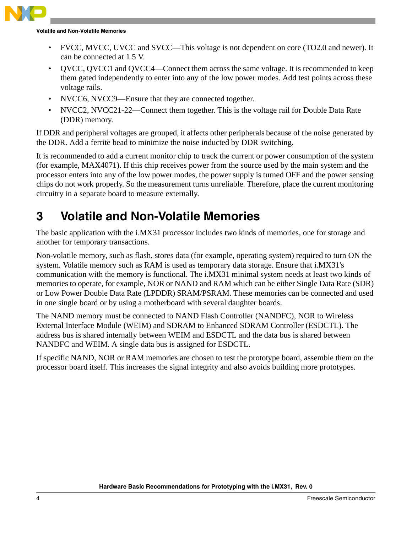

**Volatile and Non-Volatile Memories**

- FVCC, MVCC, UVCC and SVCC—This voltage is not dependent on core (TO2.0 and newer). It can be connected at 1.5 V.
- QVCC, QVCC1 and QVCC4—Connect them across the same voltage. It is recommended to keep them gated independently to enter into any of the low power modes. Add test points across these voltage rails.
- NVCC6, NVCC9—Ensure that they are connected together.
- NVCC2, NVCC21-22—Connect them together. This is the voltage rail for Double Data Rate (DDR) memory.

If DDR and peripheral voltages are grouped, it affects other peripherals because of the noise generated by the DDR. Add a ferrite bead to minimize the noise inducted by DDR switching.

It is recommended to add a current monitor chip to track the current or power consumption of the system (for example, MAX4071). If this chip receives power from the source used by the main system and the processor enters into any of the low power modes, the power supply is turned OFF and the power sensing chips do not work properly. So the measurement turns unreliable. Therefore, place the current monitoring circuitry in a separate board to measure externally.

# <span id="page-3-0"></span>**3 Volatile and Non-Volatile Memories**

The basic application with the i.MX31 processor includes two kinds of memories, one for storage and another for temporary transactions.

Non-volatile memory, such as flash, stores data (for example, operating system) required to turn ON the system. Volatile memory such as RAM is used as temporary data storage. Ensure that i.MX31's communication with the memory is functional. The i.MX31 minimal system needs at least two kinds of memories to operate, for example, NOR or NAND and RAM which can be either Single Data Rate (SDR) or Low Power Double Data Rate (LPDDR) SRAM/PSRAM. These memories can be connected and used in one single board or by using a motherboard with several daughter boards.

The NAND memory must be connected to NAND Flash Controller (NANDFC), NOR to Wireless External Interface Module (WEIM) and SDRAM to Enhanced SDRAM Controller (ESDCTL). The address bus is shared internally between WEIM and ESDCTL and the data bus is shared between NANDFC and WEIM. A single data bus is assigned for ESDCTL.

If specific NAND, NOR or RAM memories are chosen to test the prototype board, assemble them on the processor board itself. This increases the signal integrity and also avoids building more prototypes.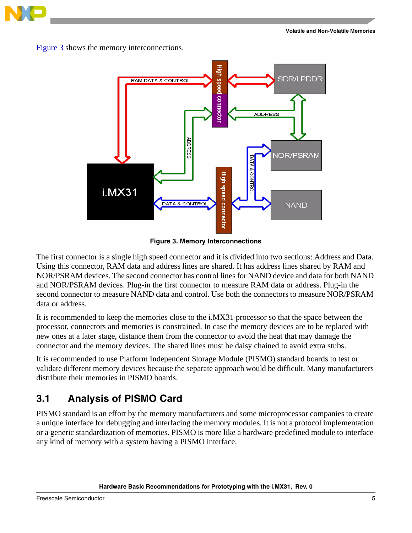

[Figure 3](#page-4-0) shows the memory interconnections.



**Figure 3. Memory Interconnections**

<span id="page-4-0"></span>The first connector is a single high speed connector and it is divided into two sections: Address and Data. Using this connector, RAM data and address lines are shared. It has address lines shared by RAM and NOR/PSRAM devices. The second connector has control lines for NAND device and data for both NAND and NOR/PSRAM devices. Plug-in the first connector to measure RAM data or address. Plug-in the second connector to measure NAND data and control. Use both the connectors to measure NOR/PSRAM data or address.

It is recommended to keep the memories close to the i.MX31 processor so that the space between the processor, connectors and memories is constrained. In case the memory devices are to be replaced with new ones at a later stage, distance them from the connector to avoid the heat that may damage the connector and the memory devices. The shared lines must be daisy chained to avoid extra stubs.

It is recommended to use Platform Independent Storage Module (PISMO) standard boards to test or validate different memory devices because the separate approach would be difficult. Many manufacturers distribute their memories in PISMO boards.

### **3.1 Analysis of PISMO Card**

PISMO standard is an effort by the memory manufacturers and some microprocessor companies to create a unique interface for debugging and interfacing the memory modules. It is not a protocol implementation or a generic standardization of memories. PISMO is more like a hardware predefined module to interface any kind of memory with a system having a PISMO interface.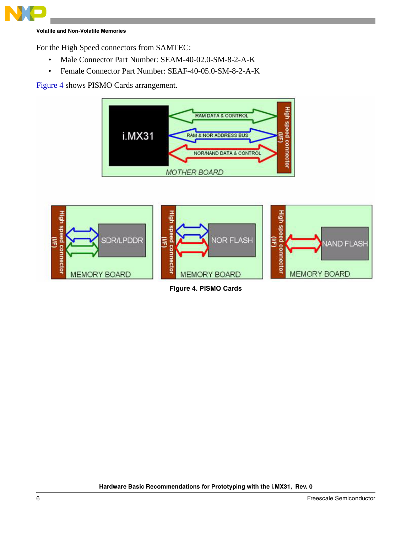

**Volatile and Non-Volatile Memories**

For the High Speed connectors from SAMTEC:

- Male Connector Part Number: SEAM-40-02.0-SM-8-2-A-K
- Female Connector Part Number: SEAF-40-05.0-SM-8-2-A-K

[Figure 4](#page-5-0) shows PISMO Cards arrangement.



<span id="page-5-0"></span>

**Figure 4. PISMO Cards**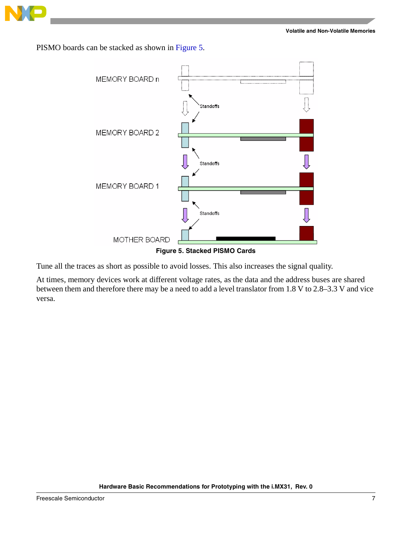

PISMO boards can be stacked as shown in [Figure 5](#page-6-0).



<span id="page-6-0"></span>Tune all the traces as short as possible to avoid losses. This also increases the signal quality.

At times, memory devices work at different voltage rates, as the data and the address buses are shared between them and therefore there may be a need to add a level translator from 1.8 V to 2.8–3.3 V and vice versa.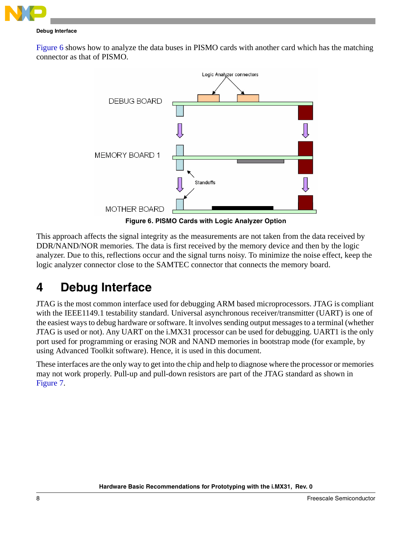

#### **Debug Interface**

[Figure 6](#page-7-1) shows how to analyze the data buses in PISMO cards with another card which has the matching connector as that of PISMO.



**Figure 6. PISMO Cards with Logic Analyzer Option**

<span id="page-7-1"></span>This approach affects the signal integrity as the measurements are not taken from the data received by DDR/NAND/NOR memories. The data is first received by the memory device and then by the logic analyzer. Due to this, reflections occur and the signal turns noisy. To minimize the noise effect, keep the logic analyzer connector close to the SAMTEC connector that connects the memory board.

# <span id="page-7-0"></span>**4 Debug Interface**

JTAG is the most common interface used for debugging ARM based microprocessors. JTAG is compliant with the IEEE1149.1 testability standard. Universal asynchronous receiver/transmitter (UART) is one of the easiest ways to debug hardware or software. It involves sending output messages to a terminal (whether JTAG is used or not). Any UART on the i.MX31 processor can be used for debugging. UART1 is the only port used for programming or erasing NOR and NAND memories in bootstrap mode (for example, by using Advanced Toolkit software). Hence, it is used in this document.

These interfaces are the only way to get into the chip and help to diagnose where the processor or memories may not work properly. Pull-up and pull-down resistors are part of the JTAG standard as shown in [Figure 7](#page-8-0).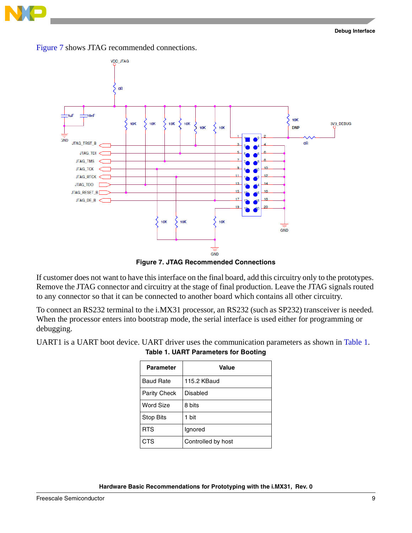



**Figure 7. JTAG Recommended Connections**

<span id="page-8-0"></span>If customer does not want to have this interface on the final board, add this circuitry only to the prototypes. Remove the JTAG connector and circuitry at the stage of final production. Leave the JTAG signals routed to any connector so that it can be connected to another board which contains all other circuitry.

To connect an RS232 terminal to the i.MX31 processor, an RS232 (such as SP232) transceiver is needed. When the processor enters into bootstrap mode, the serial interface is used either for programming or debugging.

<span id="page-8-1"></span>UART1 is a UART boot device. UART driver uses the communication parameters as shown in [Table 1.](#page-8-1)

**Table 1. UART Parameters for Booting**

| <b>Parameter</b> | Value              |
|------------------|--------------------|
| <b>Baud Rate</b> | 115.2 KBaud        |
| Parity Check     | Disabled           |
| Word Size        | 8 bits             |
| <b>Stop Bits</b> | 1 bit              |
| <b>RTS</b>       | Ignored            |
| CTS              | Controlled by host |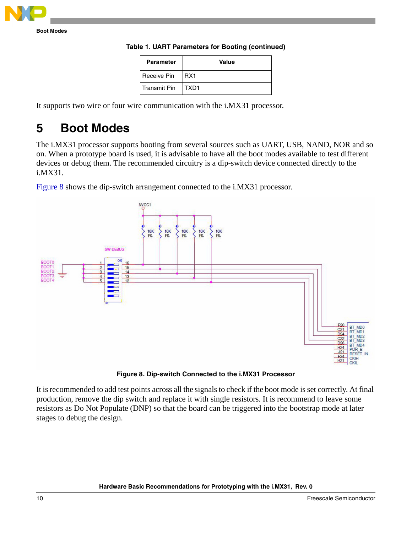

| <b>Parameter</b> | Value        |
|------------------|--------------|
| Receive Pin      | RX1          |
| l Transmit Pin   | <b>ITXD1</b> |

**Table 1. UART Parameters for Booting (continued)**

It supports two wire or four wire communication with the i.MX31 processor.

### <span id="page-9-0"></span>**5 Boot Modes**

The i.MX31 processor supports booting from several sources such as UART, USB, NAND, NOR and so on. When a prototype board is used, it is advisable to have all the boot modes available to test different devices or debug them. The recommended circuitry is a dip-switch device connected directly to the i.MX31.

[Figure 8](#page-9-1) shows the dip-switch arrangement connected to the i.MX31 processor.



**Figure 8. Dip-switch Connected to the i.MX31 Processor**

<span id="page-9-1"></span>It is recommended to add test points across all the signals to check if the boot mode is set correctly. At final production, remove the dip switch and replace it with single resistors. It is recommend to leave some resistors as Do Not Populate (DNP) so that the board can be triggered into the bootstrap mode at later stages to debug the design.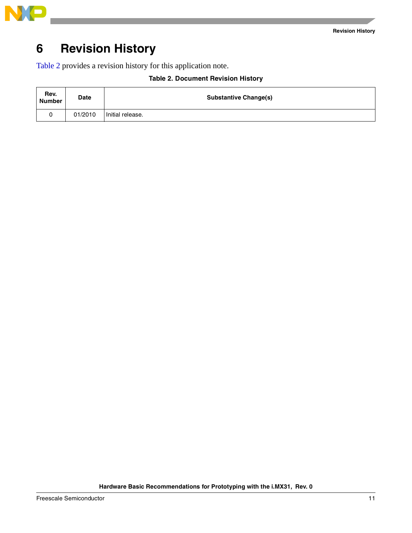

## <span id="page-10-0"></span>**6 Revision History**

<span id="page-10-1"></span>[Table 2](#page-10-1) provides a revision history for this application note.

| <b>Table 2. Document Revision History</b> |
|-------------------------------------------|
|                                           |

| Rev.<br><b>Number</b> | <b>Date</b> | <b>Substantive Change(s)</b> |
|-----------------------|-------------|------------------------------|
|                       | 01/2010     | Initial release.             |

**Hardware Basic Recommendations for Prototyping with the i.MX31, Rev. 0**